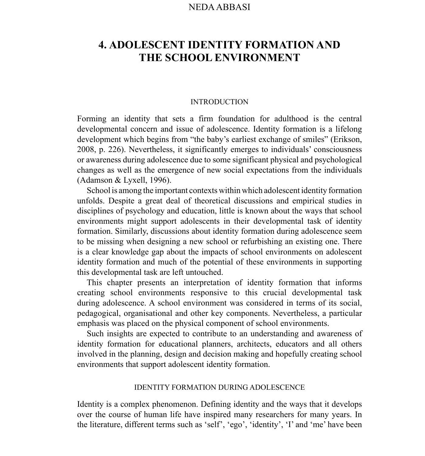# NEDA ABBASI

# **4. ADOLESCENT IDENTITY FORMATION AND THE SCHOOL ENVIRONMENT**

### INTRODUCTION

Forming an identity that sets a firm foundation for adulthood is the central developmental concern and issue of adolescence. Identity formation is a lifelong development which begins from "the baby's earliest exchange of smiles" (Erikson, 2008, p. 226). Nevertheless, it significantly emerges to individuals' consciousness or awareness during adolescence due to some significant physical and psychological changes as well as the emergence of new social expectations from the individuals (Adamson & Lyxell, 1996).

School is among the important contexts within which adolescent identity formation unfolds. Despite a great deal of theoretical discussions and empirical studies in disciplines of psychology and education, little is known about the ways that school environments might support adolescents in their developmental task of identity formation. Similarly, discussions about identity formation during adolescence seem to be missing when designing a new school or refurbishing an existing one. There is a clear knowledge gap about the impacts of school environments on adolescent identity formation and much of the potential of these environments in supporting this developmental task are left untouched.

This chapter presents an interpretation of identity formation that informs creating school environments responsive to this crucial developmental task during adolescence. A school environment was considered in terms of its social, pedagogical, organisational and other key components. Nevertheless, a particular emphasis was placed on the physical component of school environments.

Such insights are expected to contribute to an understanding and awareness of identity formation for educational planners, architects, educators and all others involved in the planning, design and decision making and hopefully creating school environments that support adolescent identity formation.

### IDENTITY FORMATION DURING ADOLESCENCE

Identity is a complex phenomenon. Defining identity and the ways that it develops over the course of human life have inspired many researchers for many years. In the literature, different terms such as 'self', 'ego', 'identity', 'I' and 'me' have been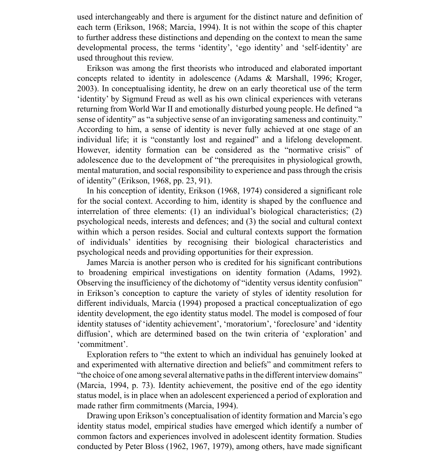used interchangeably and there is argument for the distinct nature and definition of each term (Erikson, 1968; Marcia, 1994). It is not within the scope of this chapter to further address these distinctions and depending on the context to mean the same developmental process, the terms 'identity', 'ego identity' and 'self-identity' are used throughout this review.

Erikson was among the first theorists who introduced and elaborated important concepts related to identity in adolescence (Adams & Marshall, 1996; Kroger, 2003). In conceptualising identity, he drew on an early theoretical use of the term 'identity' by Sigmund Freud as well as his own clinical experiences with veterans returning from World War II and emotionally disturbed young people. He defined "a sense of identity" as "a subjective sense of an invigorating sameness and continuity." According to him, a sense of identity is never fully achieved at one stage of an individual life; it is "constantly lost and regained" and a lifelong development. However, identity formation can be considered as the "normative crisis" of adolescence due to the development of "the prerequisites in physiological growth, mental maturation, and social responsibility to experience and pass through the crisis of identity" (Erikson, 1968, pp. 23, 91).

In his conception of identity, Erikson (1968, 1974) considered a significant role for the social context. According to him, identity is shaped by the confluence and interrelation of three elements: (1) an individual's biological characteristics; (2) psychological needs, interests and defences; and (3) the social and cultural context within which a person resides. Social and cultural contexts support the formation of individuals' identities by recognising their biological characteristics and psychological needs and providing opportunities for their expression.

James Marcia is another person who is credited for his significant contributions to broadening empirical investigations on identity formation (Adams, 1992). Observing the insufficiency of the dichotomy of "identity versus identity confusion" in Erikson's conception to capture the variety of styles of identity resolution for different individuals, Marcia (1994) proposed a practical conceptualization of ego identity development, the ego identity status model. The model is composed of four identity statuses of 'identity achievement', 'moratorium', 'foreclosure' and 'identity diffusion', which are determined based on the twin criteria of 'exploration' and 'commitment'.

Exploration refers to "the extent to which an individual has genuinely looked at and experimented with alternative direction and beliefs" and commitment refers to "the choice of one among several alternative paths in the different interview domains" (Marcia, 1994, p. 73). Identity achievement, the positive end of the ego identity status model, is in place when an adolescent experienced a period of exploration and made rather firm commitments (Marcia, 1994).

Drawing upon Erikson's conceptualisation of identity formation and Marcia's ego identity status model, empirical studies have emerged which identify a number of common factors and experiences involved in adolescent identity formation. Studies conducted by Peter Bloss (1962, 1967, 1979), among others, have made significant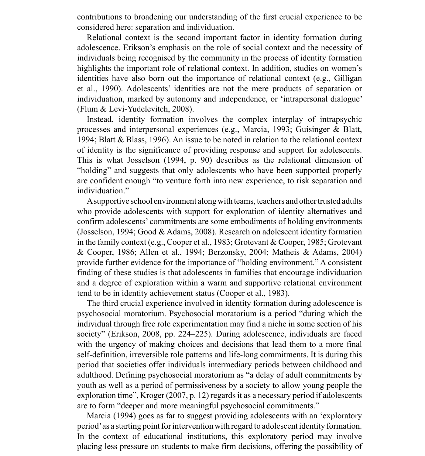contributions to broadening our understanding of the first crucial experience to be considered here: separation and individuation.

Relational context is the second important factor in identity formation during adolescence. Erikson's emphasis on the role of social context and the necessity of individuals being recognised by the community in the process of identity formation highlights the important role of relational context. In addition, studies on women's identities have also born out the importance of relational context (e.g., Gilligan et al., 1990). Adolescents' identities are not the mere products of separation or individuation, marked by autonomy and independence, or 'intrapersonal dialogue' (Flum & Levi-Yudelevitch, 2008).

Instead, identity formation involves the complex interplay of intrapsychic processes and interpersonal experiences (e.g., Marcia, 1993; Guisinger & Blatt, 1994; Blatt & Blass, 1996). An issue to be noted in relation to the relational context of identity is the significance of providing response and support for adolescents. This is what Josselson (1994, p. 90) describes as the relational dimension of "holding" and suggests that only adolescents who have been supported properly are confident enough "to venture forth into new experience, to risk separation and individuation."

A supportive school environment along with teams, teachers and other trusted adults who provide adolescents with support for exploration of identity alternatives and confirm adolescents' commitments are some embodiments of holding environments (Josselson, 1994; Good & Adams, 2008). Research on adolescent identity formation in the family context (e.g., Cooper et al., 1983; Grotevant & Cooper, 1985; Grotevant & Cooper, 1986; Allen et al., 1994; Berzonsky, 2004; Matheis & Adams, 2004) provide further evidence for the importance of "holding environment." A consistent finding of these studies is that adolescents in families that encourage individuation and a degree of exploration within a warm and supportive relational environment tend to be in identity achievement status (Cooper et al., 1983).

The third crucial experience involved in identity formation during adolescence is psychosocial moratorium. Psychosocial moratorium is a period "during which the individual through free role experimentation may find a niche in some section of his society" (Erikson, 2008, pp. 224–225). During adolescence, individuals are faced with the urgency of making choices and decisions that lead them to a more final self-definition, irreversible role patterns and life-long commitments. It is during this period that societies offer individuals intermediary periods between childhood and adulthood. Defining psychosocial moratorium as "a delay of adult commitments by youth as well as a period of permissiveness by a society to allow young people the exploration time", Kroger (2007, p. 12) regards it as a necessary period if adolescents are to form "deeper and more meaningful psychosocial commitments."

Marcia (1994) goes as far to suggest providing adolescents with an 'exploratory period' as a starting point for intervention with regard to adolescent identity formation. In the context of educational institutions, this exploratory period may involve placing less pressure on students to make firm decisions, offering the possibility of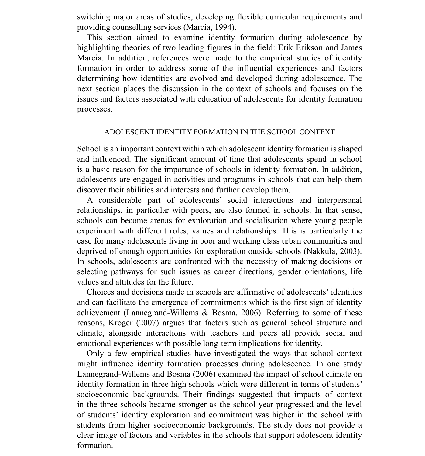switching major areas of studies, developing flexible curricular requirements and providing counselling services (Marcia, 1994).

This section aimed to examine identity formation during adolescence by highlighting theories of two leading figures in the field: Erik Erikson and James Marcia. In addition, references were made to the empirical studies of identity formation in order to address some of the influential experiences and factors determining how identities are evolved and developed during adolescence. The next section places the discussion in the context of schools and focuses on the issues and factors associated with education of adolescents for identity formation processes.

### ADOLESCENT IDENTITY FORMATION IN THE SCHOOL CONTEXT

School is an important context within which adolescent identity formation is shaped and influenced. The significant amount of time that adolescents spend in school is a basic reason for the importance of schools in identity formation. In addition, adolescents are engaged in activities and programs in schools that can help them discover their abilities and interests and further develop them.

A considerable part of adolescents' social interactions and interpersonal relationships, in particular with peers, are also formed in schools. In that sense, schools can become arenas for exploration and socialisation where young people experiment with different roles, values and relationships. This is particularly the case for many adolescents living in poor and working class urban communities and deprived of enough opportunities for exploration outside schools (Nakkula, 2003). In schools, adolescents are confronted with the necessity of making decisions or selecting pathways for such issues as career directions, gender orientations, life values and attitudes for the future.

Choices and decisions made in schools are affirmative of adolescents' identities and can facilitate the emergence of commitments which is the first sign of identity achievement (Lannegrand-Willems & Bosma, 2006). Referring to some of these reasons, Kroger (2007) argues that factors such as general school structure and climate, alongside interactions with teachers and peers all provide social and emotional experiences with possible long-term implications for identity.

Only a few empirical studies have investigated the ways that school context might influence identity formation processes during adolescence. In one study Lannegrand-Willems and Bosma (2006) examined the impact of school climate on identity formation in three high schools which were different in terms of students' socioeconomic backgrounds. Their findings suggested that impacts of context in the three schools became stronger as the school year progressed and the level of students' identity exploration and commitment was higher in the school with students from higher socioeconomic backgrounds. The study does not provide a clear image of factors and variables in the schools that support adolescent identity formation.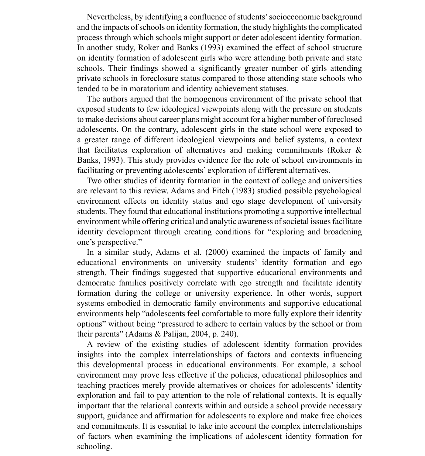Nevertheless, by identifying a confluence of students' socioeconomic background and the impacts of schools on identity formation, the study highlights the complicated process through which schools might support or deter adolescent identity formation. In another study, Roker and Banks (1993) examined the effect of school structure on identity formation of adolescent girls who were attending both private and state schools. Their findings showed a significantly greater number of girls attending private schools in foreclosure status compared to those attending state schools who tended to be in moratorium and identity achievement statuses.

The authors argued that the homogenous environment of the private school that exposed students to few ideological viewpoints along with the pressure on students to make decisions about career plans might account for a higher number of foreclosed adolescents. On the contrary, adolescent girls in the state school were exposed to a greater range of different ideological viewpoints and belief systems, a context that facilitates exploration of alternatives and making commitments (Roker & Banks, 1993). This study provides evidence for the role of school environments in facilitating or preventing adolescents' exploration of different alternatives.

Two other studies of identity formation in the context of college and universities are relevant to this review. Adams and Fitch (1983) studied possible psychological environment effects on identity status and ego stage development of university students. They found that educational institutions promoting a supportive intellectual environment while offering critical and analytic awareness of societal issues facilitate identity development through creating conditions for "exploring and broadening one's perspective."

In a similar study, Adams et al. (2000) examined the impacts of family and educational environments on university students' identity formation and ego strength. Their findings suggested that supportive educational environments and democratic families positively correlate with ego strength and facilitate identity formation during the college or university experience. In other words, support systems embodied in democratic family environments and supportive educational environments help "adolescents feel comfortable to more fully explore their identity options" without being "pressured to adhere to certain values by the school or from their parents" (Adams & Palijan, 2004, p. 240).

A review of the existing studies of adolescent identity formation provides insights into the complex interrelationships of factors and contexts influencing this developmental process in educational environments. For example, a school environment may prove less effective if the policies, educational philosophies and teaching practices merely provide alternatives or choices for adolescents' identity exploration and fail to pay attention to the role of relational contexts. It is equally important that the relational contexts within and outside a school provide necessary support, guidance and affirmation for adolescents to explore and make free choices and commitments. It is essential to take into account the complex interrelationships of factors when examining the implications of adolescent identity formation for schooling.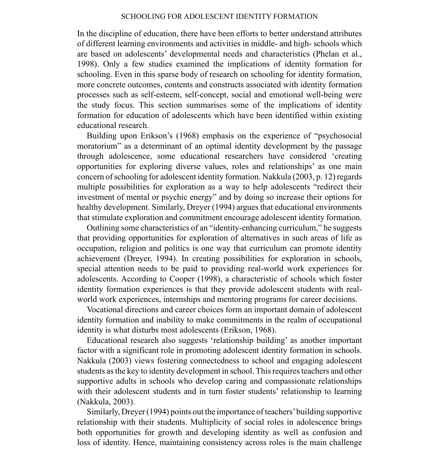#### SCHOOLING FOR ADOLESCENT IDENTITY FORMATION

In the discipline of education, there have been efforts to better understand attributes of different learning environments and activities in middle- and high- schools which are based on adolescents' developmental needs and characteristics (Phelan et al., 1998). Only a few studies examined the implications of identity formation for schooling. Even in this sparse body of research on schooling for identity formation, more concrete outcomes, contents and constructs associated with identity formation processes such as self-esteem, self-concept, social and emotional well-being were the study focus. This section summarises some of the implications of identity formation for education of adolescents which have been identified within existing educational research.

Building upon Erikson's (1968) emphasis on the experience of "psychosocial moratorium" as a determinant of an optimal identity development by the passage through adolescence, some educational researchers have considered 'creating opportunities for exploring diverse values, roles and relationships' as one main concern of schooling for adolescent identity formation. Nakkula (2003, p. 12) regards multiple possibilities for exploration as a way to help adolescents "redirect their investment of mental or psychic energy" and by doing so increase their options for healthy development. Similarly, Dreyer (1994) argues that educational environments that stimulate exploration and commitment encourage adolescent identity formation.

Outlining some characteristics of an "identity-enhancing curriculum," he suggests that providing opportunities for exploration of alternatives in such areas of life as occupation, religion and politics is one way that curriculum can promote identity achievement (Dreyer, 1994). In creating possibilities for exploration in schools, special attention needs to be paid to providing real-world work experiences for adolescents. According to Cooper (1998), a characteristic of schools which foster identity formation experiences is that they provide adolescent students with realworld work experiences, internships and mentoring programs for career decisions.

Vocational directions and career choices form an important domain of adolescent identity formation and inability to make commitments in the realm of occupational identity is what disturbs most adolescents (Erikson, 1968).

Educational research also suggests 'relationship building' as another important factor with a significant role in promoting adolescent identity formation in schools. Nakkula (2003) views fostering connectedness to school and engaging adolescent students as the key to identity development in school. This requires teachers and other supportive adults in schools who develop caring and compassionate relationships with their adolescent students and in turn foster students' relationship to learning (Nakkula, 2003).

Similarly, Dreyer (1994) points out the importance of teachers' building supportive relationship with their students. Multiplicity of social roles in adolescence brings both opportunities for growth and developing identity as well as confusion and loss of identity. Hence, maintaining consistency across roles is the main challenge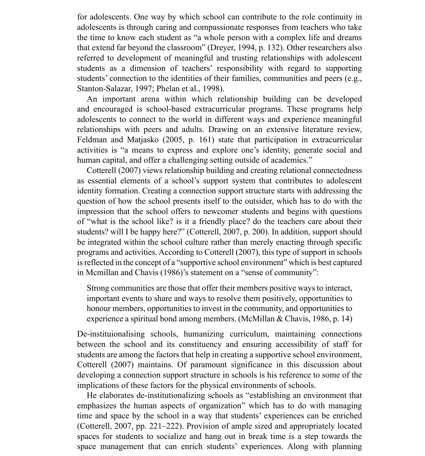for adolescents. One way by which school can contribute to the role continuity in adolescents is through caring and compassionate responses from teachers who take the time to know each student as "a whole person with a complex life and dreams that extend far beyond the classroom" (Dreyer, 1994, p. 132). Other researchers also referred to development of meaningful and trusting relationships with adolescent students as a dimension of teachers' responsibility with regard to supporting students' connection to the identities of their families, communities and peers (e.g., Stanton-Salazar, 1997; Phelan et al., 1998).

An important arena within which relationship building can be developed and encouraged is school-based extracurricular programs. These programs help adolescents to connect to the world in different ways and experience meaningful relationships with peers and adults. Drawing on an extensive literature review, Feldman and Matjasko (2005, p. 161) state that participation in extracurricular activities is "a means to express and explore one's identity, generate social and human capital, and offer a challenging setting outside of academics."

Cotterell (2007) views relationship building and creating relational connectedness as essential elements of a school's support system that contributes to adolescent identity formation. Creating a connection support structure starts with addressing the question of how the school presents itself to the outsider, which has to do with the impression that the school offers to newcomer students and begins with questions of "what is the school like? is it a friendly place? do the teachers care about their students? will I be happy here?" (Cotterell, 2007, p. 200). In addition, support should be integrated within the school culture rather than merely enacting through specific programs and activities. According to Cotterell (2007), this type of support in schools is reflected in the concept of a "supportive school environment" which is best captured in Mcmillan and Chavis (1986)'s statement on a "sense of community":

Strong communities are those that offer their members positive ways to interact, important events to share and ways to resolve them positively, opportunities to honour members, opportunities to invest in the community, and opportunities to experience a spiritual bond among members. (McMillan & Chavis, 1986, p. 14)

De-instituionalising schools, humanizing curriculum, maintaining connections between the school and its constituency and ensuring accessibility of staff for students are among the factors that help in creating a supportive school environment, Cotterell (2007) maintains. Of paramount significance in this discussion about developing a connection support structure in schools is his reference to some of the implications of these factors for the physical environments of schools.

He elaborates de-institutionalizing schools as "establishing an environment that emphasizes the human aspects of organization" which has to do with managing time and space by the school in a way that students' experiences can be enriched (Cotterell, 2007, pp. 221–222). Provision of ample sized and appropriately located spaces for students to socialize and hang out in break time is a step towards the space management that can enrich students' experiences. Along with planning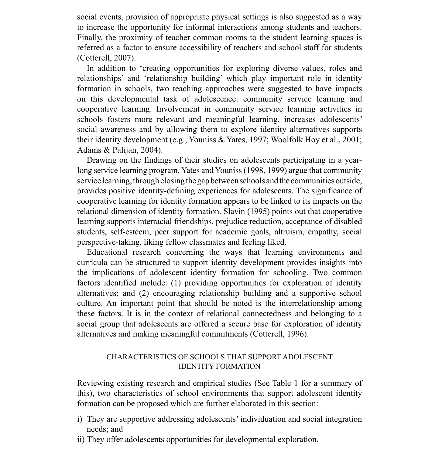social events, provision of appropriate physical settings is also suggested as a way to increase the opportunity for informal interactions among students and teachers. Finally, the proximity of teacher common rooms to the student learning spaces is referred as a factor to ensure accessibility of teachers and school staff for students (Cotterell, 2007).

In addition to 'creating opportunities for exploring diverse values, roles and relationships' and 'relationship building' which play important role in identity formation in schools, two teaching approaches were suggested to have impacts on this developmental task of adolescence: community service learning and cooperative learning. Involvement in community service learning activities in schools fosters more relevant and meaningful learning, increases adolescents' social awareness and by allowing them to explore identity alternatives supports their identity development (e.g., Youniss & Yates, 1997; Woolfolk Hoy et al., 2001; Adams & Palijan, 2004).

Drawing on the findings of their studies on adolescents participating in a yearlong service learning program, Yates and Youniss (1998, 1999) argue that community service learning, through closing the gap between schools and the communities outside, provides positive identity-defining experiences for adolescents. The significance of cooperative learning for identity formation appears to be linked to its impacts on the relational dimension of identity formation. Slavin (1995) points out that cooperative learning supports interracial friendships, prejudice reduction, acceptance of disabled students, self-esteem, peer support for academic goals, altruism, empathy, social perspective-taking, liking fellow classmates and feeling liked.

Educational research concerning the ways that learning environments and curricula can be structured to support identity development provides insights into the implications of adolescent identity formation for schooling. Two common factors identified include: (1) providing opportunities for exploration of identity alternatives; and (2) encouraging relationship building and a supportive school culture. An important point that should be noted is the interrelationship among these factors. It is in the context of relational connectedness and belonging to a social group that adolescents are offered a secure base for exploration of identity alternatives and making meaningful commitments (Cotterell, 1996).

# CHARACTERISTICS OF SCHOOLS THAT SUPPORT ADOLESCENT IDENTITY FORMATION

Reviewing existing research and empirical studies (See Table 1 for a summary of this), two characteristics of school environments that support adolescent identity formation can be proposed which are further elaborated in this section:

- i) They are supportive addressing adolescents' individuation and social integration needs; and
- ii) They offer adolescents opportunities for developmental exploration.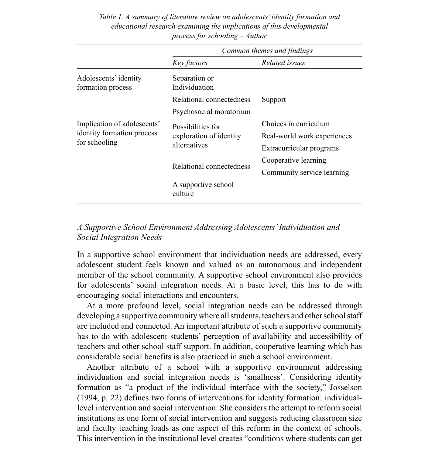*Table 1. A summary of literature review on adolescents' identity formation and educational research examining the implications of this developmental process for schooling – Author*

|                                                                            | Common themes and findings                                   |                                                                                                          |
|----------------------------------------------------------------------------|--------------------------------------------------------------|----------------------------------------------------------------------------------------------------------|
|                                                                            | Key factors                                                  | Related issues                                                                                           |
| Adolescents' identity<br>formation process                                 | Separation or<br>Individuation                               |                                                                                                          |
|                                                                            | Relational connectedness                                     | Support                                                                                                  |
|                                                                            | Psychosocial moratorium                                      |                                                                                                          |
| Implication of adolescents'<br>identity formation process<br>for schooling | Possibilities for<br>exploration of identity<br>alternatives | Choices in curriculum<br>Real-world work experiences<br>Extracurricular programs<br>Cooperative learning |
|                                                                            | Relational connectedness                                     | Community service learning                                                                               |
|                                                                            | A supportive school<br>culture                               |                                                                                                          |

# *A Supportive School Environment Addressing Adolescents' Individuation and Social Integration Needs*

In a supportive school environment that individuation needs are addressed, every adolescent student feels known and valued as an autonomous and independent member of the school community. A supportive school environment also provides for adolescents' social integration needs. At a basic level, this has to do with encouraging social interactions and encounters.

At a more profound level, social integration needs can be addressed through developing a supportive community where all students, teachers and other school staff are included and connected. An important attribute of such a supportive community has to do with adolescent students' perception of availability and accessibility of teachers and other school staff support. In addition, cooperative learning which has considerable social benefits is also practiced in such a school environment.

Another attribute of a school with a supportive environment addressing individuation and social integration needs is 'smallness'. Considering identity formation as "a product of the individual interface with the society," Josselson (1994, p. 22) defines two forms of interventions for identity formation: individuallevel intervention and social intervention. She considers the attempt to reform social institutions as one form of social intervention and suggests reducing classroom size and faculty teaching loads as one aspect of this reform in the context of schools. This intervention in the institutional level creates "conditions where students can get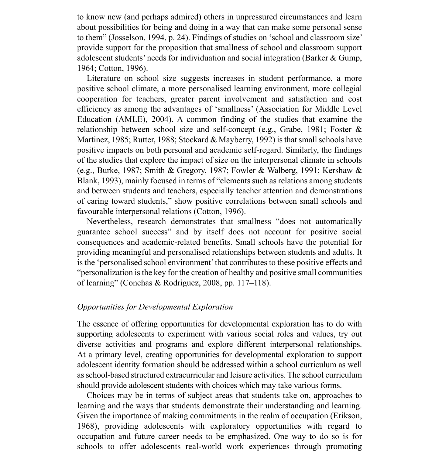to know new (and perhaps admired) others in unpressured circumstances and learn about possibilities for being and doing in a way that can make some personal sense to them" (Josselson, 1994, p. 24). Findings of studies on 'school and classroom size' provide support for the proposition that smallness of school and classroom support adolescent students' needs for individuation and social integration (Barker & Gump, 1964; Cotton, 1996).

Literature on school size suggests increases in student performance, a more positive school climate, a more personalised learning environment, more collegial cooperation for teachers, greater parent involvement and satisfaction and cost efficiency as among the advantages of 'smallness' (Association for Middle Level Education (AMLE), 2004). A common finding of the studies that examine the relationship between school size and self-concept (e.g., Grabe, 1981; Foster & Martinez, 1985; Rutter, 1988; Stockard & Mayberry, 1992) is that small schools have positive impacts on both personal and academic self-regard. Similarly, the findings of the studies that explore the impact of size on the interpersonal climate in schools (e.g., Burke, 1987; Smith & Gregory, 1987; Fowler & Walberg, 1991; Kershaw & Blank, 1993), mainly focused in terms of "elements such as relations among students and between students and teachers, especially teacher attention and demonstrations of caring toward students," show positive correlations between small schools and favourable interpersonal relations (Cotton, 1996).

Nevertheless, research demonstrates that smallness "does not automatically guarantee school success" and by itself does not account for positive social consequences and academic-related benefits. Small schools have the potential for providing meaningful and personalised relationships between students and adults. It is the 'personalised school environment' that contributes to these positive effects and "personalization is the key for the creation of healthy and positive small communities of learning" (Conchas & Rodriguez, 2008, pp. 117–118).

# *Opportunities for Developmental Exploration*

The essence of offering opportunities for developmental exploration has to do with supporting adolescents to experiment with various social roles and values, try out diverse activities and programs and explore different interpersonal relationships. At a primary level, creating opportunities for developmental exploration to support adolescent identity formation should be addressed within a school curriculum as well as school-based structured extracurricular and leisure activities. The school curriculum should provide adolescent students with choices which may take various forms.

Choices may be in terms of subject areas that students take on, approaches to learning and the ways that students demonstrate their understanding and learning. Given the importance of making commitments in the realm of occupation (Erikson, 1968), providing adolescents with exploratory opportunities with regard to occupation and future career needs to be emphasized. One way to do so is for schools to offer adolescents real-world work experiences through promoting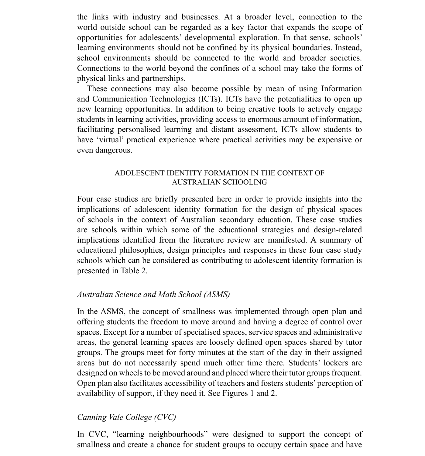the links with industry and businesses. At a broader level, connection to the world outside school can be regarded as a key factor that expands the scope of opportunities for adolescents' developmental exploration. In that sense, schools' learning environments should not be confined by its physical boundaries. Instead, school environments should be connected to the world and broader societies. Connections to the world beyond the confines of a school may take the forms of physical links and partnerships.

These connections may also become possible by mean of using Information and Communication Technologies (ICTs). ICTs have the potentialities to open up new learning opportunities. In addition to being creative tools to actively engage students in learning activities, providing access to enormous amount of information, facilitating personalised learning and distant assessment, ICTs allow students to have 'virtual' practical experience where practical activities may be expensive or even dangerous.

### ADOLESCENT IDENTITY FORMATION IN THE CONTEXT OF AUSTRALIAN SCHOOLING

Four case studies are briefly presented here in order to provide insights into the implications of adolescent identity formation for the design of physical spaces of schools in the context of Australian secondary education. These case studies are schools within which some of the educational strategies and design-related implications identified from the literature review are manifested. A summary of educational philosophies, design principles and responses in these four case study schools which can be considered as contributing to adolescent identity formation is presented in Table 2.

# *Australian Science and Math School (ASMS)*

In the ASMS, the concept of smallness was implemented through open plan and offering students the freedom to move around and having a degree of control over spaces. Except for a number of specialised spaces, service spaces and administrative areas, the general learning spaces are loosely defined open spaces shared by tutor groups. The groups meet for forty minutes at the start of the day in their assigned areas but do not necessarily spend much other time there. Students' lockers are designed on wheels to be moved around and placed where their tutor groups frequent. Open plan also facilitates accessibility of teachers and fosters students' perception of availability of support, if they need it. See Figures 1 and 2.

# *Canning Vale College (CVC)*

In CVC, "learning neighbourhoods" were designed to support the concept of smallness and create a chance for student groups to occupy certain space and have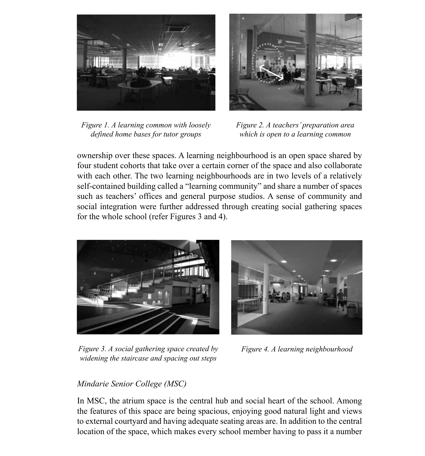



*Figure 1. A learning common with loosely defined home bases for tutor groups*

*Figure 2. A teachers' preparation area which is open to a learning common*

ownership over these spaces. A learning neighbourhood is an open space shared by four student cohorts that take over a certain corner of the space and also collaborate with each other. The two learning neighbourhoods are in two levels of a relatively self-contained building called a "learning community" and share a number of spaces such as teachers' offices and general purpose studios. A sense of community and social integration were further addressed through creating social gathering spaces for the whole school (refer Figures 3 and 4).







*Figure 4. A learning neighbourhood*

# *Mindarie Senior College (MSC)*

In MSC, the atrium space is the central hub and social heart of the school. Among the features of this space are being spacious, enjoying good natural light and views to external courtyard and having adequate seating areas are. In addition to the central location of the space, which makes every school member having to pass it a number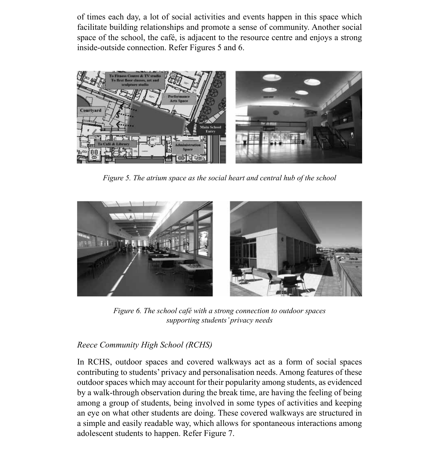of times each day, a lot of social activities and events happen in this space which facilitate building relationships and promote a sense of community. Another social space of the school, the café, is adjacent to the resource centre and enjoys a strong inside-outside connection. Refer Figures 5 and 6.



*Figure 5. The atrium space as the social heart and central hub of the school*



*Figure 6. The school café with a strong connection to outdoor spaces supporting students' privacy needs*

# *Reece Community High School (RCHS)*

In RCHS, outdoor spaces and covered walkways act as a form of social spaces contributing to students' privacy and personalisation needs. Among features of these outdoor spaces which may account for their popularity among students, as evidenced by a walk-through observation during the break time, are having the feeling of being among a group of students, being involved in some types of activities and keeping an eye on what other students are doing. These covered walkways are structured in a simple and easily readable way, which allows for spontaneous interactions among adolescent students to happen. Refer Figure 7.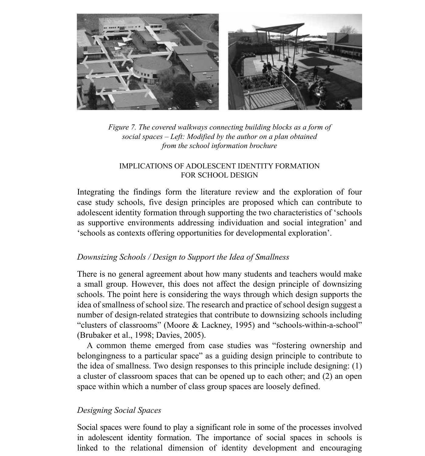

*Figure 7. The covered walkways connecting building blocks as a form of social spaces – Left: Modified by the author on a plan obtained from the school information brochure*

### IMPLICATIONS OF ADOLESCENT IDENTITY FORMATION FOR SCHOOL DESIGN

Integrating the findings form the literature review and the exploration of four case study schools, five design principles are proposed which can contribute to adolescent identity formation through supporting the two characteristics of 'schools as supportive environments addressing individuation and social integration' and 'schools as contexts offering opportunities for developmental exploration'.

# *Downsizing Schools / Design to Support the Idea of Smallness*

There is no general agreement about how many students and teachers would make a small group. However, this does not affect the design principle of downsizing schools. The point here is considering the ways through which design supports the idea of smallness of school size. The research and practice of school design suggest a number of design-related strategies that contribute to downsizing schools including "clusters of classrooms" (Moore & Lackney, 1995) and "schools-within-a-school" (Brubaker et al., 1998; Davies, 2005).

A common theme emerged from case studies was "fostering ownership and belongingness to a particular space" as a guiding design principle to contribute to the idea of smallness. Two design responses to this principle include designing: (1) a cluster of classroom spaces that can be opened up to each other; and (2) an open space within which a number of class group spaces are loosely defined.

# *Designing Social Spaces*

Social spaces were found to play a significant role in some of the processes involved in adolescent identity formation. The importance of social spaces in schools is linked to the relational dimension of identity development and encouraging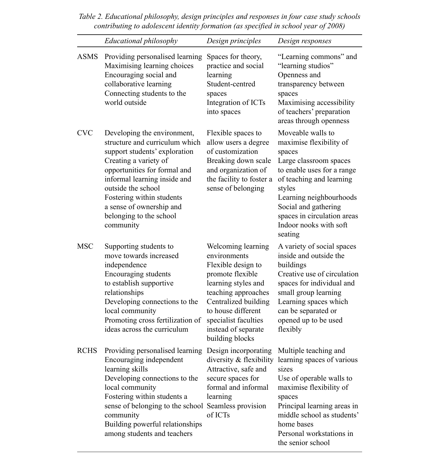|             | Educational philosophy                                                                                                                                                                                                                                                                                         | Design principles                                                                                                                                                                                                                          | Design responses                                                                                                                                                                                                                                                            |
|-------------|----------------------------------------------------------------------------------------------------------------------------------------------------------------------------------------------------------------------------------------------------------------------------------------------------------------|--------------------------------------------------------------------------------------------------------------------------------------------------------------------------------------------------------------------------------------------|-----------------------------------------------------------------------------------------------------------------------------------------------------------------------------------------------------------------------------------------------------------------------------|
| <b>ASMS</b> | Providing personalised learning<br>Maximising learning choices<br>Encouraging social and<br>collaborative learning<br>Connecting students to the<br>world outside                                                                                                                                              | Spaces for theory,<br>practice and social<br>learning<br>Student-centred<br>spaces<br>Integration of ICTs<br>into spaces                                                                                                                   | "Learning commons" and<br>"learning studios"<br>Openness and<br>transparency between<br>spaces<br>Maximising accessibility<br>of teachers' preparation<br>areas through openness                                                                                            |
| <b>CVC</b>  | Developing the environment,<br>structure and curriculum which<br>support students' exploration<br>Creating a variety of<br>opportunities for formal and<br>informal learning inside and<br>outside the school<br>Fostering within students<br>a sense of ownership and<br>belonging to the school<br>community | Flexible spaces to<br>allow users a degree<br>of customization<br>Breaking down scale<br>and organization of<br>the facility to foster a<br>sense of belonging                                                                             | Moveable walls to<br>maximise flexibility of<br>spaces<br>Large classroom spaces<br>to enable uses for a range<br>of teaching and learning<br>styles<br>Learning neighbourhoods<br>Social and gathering<br>spaces in circulation areas<br>Indoor nooks with soft<br>seating |
| <b>MSC</b>  | Supporting students to<br>move towards increased<br>independence<br>Encouraging students<br>to establish supportive<br>relationships<br>Developing connections to the<br>local community<br>Promoting cross fertilization of<br>ideas across the curriculum                                                    | Welcoming learning<br>environments<br>Flexible design to<br>promote flexible<br>learning styles and<br>teaching approaches<br>Centralized building<br>to house different<br>specialist faculties<br>instead of separate<br>building blocks | A variety of social spaces<br>inside and outside the<br>buildings<br>Creative use of circulation<br>spaces for individual and<br>small group learning<br>Learning spaces which<br>can be separated or<br>opened up to be used<br>flexibly                                   |
| <b>RCHS</b> | Providing personalised learning<br>Encouraging independent<br>learning skills<br>Developing connections to the<br>local community<br>Fostering within students a<br>sense of belonging to the school Seamless provision<br>community<br>Building powerful relationships<br>among students and teachers         | Design incorporating<br>diversity & flexibility<br>Attractive, safe and<br>secure spaces for<br>formal and informal<br>learning<br>of ICTs                                                                                                 | Multiple teaching and<br>learning spaces of various<br>sizes<br>Use of operable walls to<br>maximise flexibility of<br>spaces<br>Principal learning areas in<br>middle school as students'<br>home bases<br>Personal workstations in<br>the senior school                   |

*Table 2. Educational philosophy, design principles and responses in four case study schools contributing to adolescent identity formation (as specified in school year of 2008)*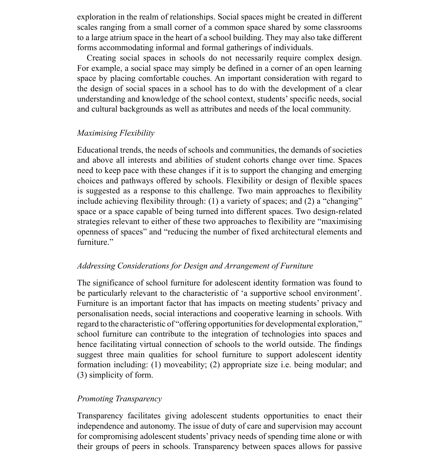exploration in the realm of relationships. Social spaces might be created in different scales ranging from a small corner of a common space shared by some classrooms to a large atrium space in the heart of a school building. They may also take different forms accommodating informal and formal gatherings of individuals.

Creating social spaces in schools do not necessarily require complex design. For example, a social space may simply be defined in a corner of an open learning space by placing comfortable couches. An important consideration with regard to the design of social spaces in a school has to do with the development of a clear understanding and knowledge of the school context, students' specific needs, social and cultural backgrounds as well as attributes and needs of the local community.

# *Maximising Flexibility*

Educational trends, the needs of schools and communities, the demands of societies and above all interests and abilities of student cohorts change over time. Spaces need to keep pace with these changes if it is to support the changing and emerging choices and pathways offered by schools. Flexibility or design of flexible spaces is suggested as a response to this challenge. Two main approaches to flexibility include achieving flexibility through: (1) a variety of spaces; and (2) a "changing" space or a space capable of being turned into different spaces. Two design-related strategies relevant to either of these two approaches to flexibility are "maximising openness of spaces" and "reducing the number of fixed architectural elements and furniture."

# *Addressing Considerations for Design and Arrangement of Furniture*

The significance of school furniture for adolescent identity formation was found to be particularly relevant to the characteristic of 'a supportive school environment'. Furniture is an important factor that has impacts on meeting students' privacy and personalisation needs, social interactions and cooperative learning in schools. With regard to the characteristic of "offering opportunities for developmental exploration," school furniture can contribute to the integration of technologies into spaces and hence facilitating virtual connection of schools to the world outside. The findings suggest three main qualities for school furniture to support adolescent identity formation including: (1) moveability; (2) appropriate size i.e. being modular; and (3) simplicity of form.

# *Promoting Transparency*

Transparency facilitates giving adolescent students opportunities to enact their independence and autonomy. The issue of duty of care and supervision may account for compromising adolescent students' privacy needs of spending time alone or with their groups of peers in schools. Transparency between spaces allows for passive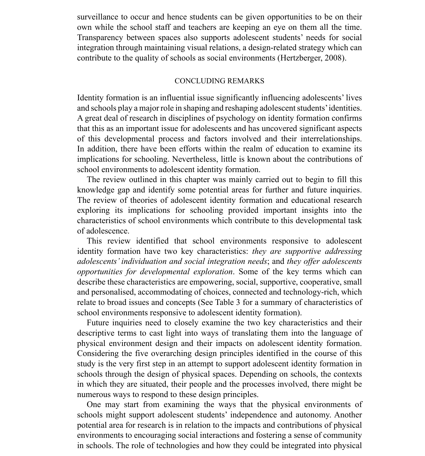surveillance to occur and hence students can be given opportunities to be on their own while the school staff and teachers are keeping an eye on them all the time. Transparency between spaces also supports adolescent students' needs for social integration through maintaining visual relations, a design-related strategy which can contribute to the quality of schools as social environments (Hertzberger, 2008).

### CONCLUDING REMARKS

Identity formation is an influential issue significantly influencing adolescents' lives and schools play a major role in shaping and reshaping adolescent students' identities. A great deal of research in disciplines of psychology on identity formation confirms that this as an important issue for adolescents and has uncovered significant aspects of this developmental process and factors involved and their interrelationships. In addition, there have been efforts within the realm of education to examine its implications for schooling. Nevertheless, little is known about the contributions of school environments to adolescent identity formation.

The review outlined in this chapter was mainly carried out to begin to fill this knowledge gap and identify some potential areas for further and future inquiries. The review of theories of adolescent identity formation and educational research exploring its implications for schooling provided important insights into the characteristics of school environments which contribute to this developmental task of adolescence.

This review identified that school environments responsive to adolescent identity formation have two key characteristics: *they are supportive addressing adolescents' individuation and social integration needs*; and *they offer adolescents opportunities for developmental exploration*. Some of the key terms which can describe these characteristics are empowering, social, supportive, cooperative, small and personalised, accommodating of choices, connected and technology-rich, which relate to broad issues and concepts (See Table 3 for a summary of characteristics of school environments responsive to adolescent identity formation).

Future inquiries need to closely examine the two key characteristics and their descriptive terms to cast light into ways of translating them into the language of physical environment design and their impacts on adolescent identity formation. Considering the five overarching design principles identified in the course of this study is the very first step in an attempt to support adolescent identity formation in schools through the design of physical spaces. Depending on schools, the contexts in which they are situated, their people and the processes involved, there might be numerous ways to respond to these design principles.

One may start from examining the ways that the physical environments of schools might support adolescent students' independence and autonomy. Another potential area for research is in relation to the impacts and contributions of physical environments to encouraging social interactions and fostering a sense of community in schools. The role of technologies and how they could be integrated into physical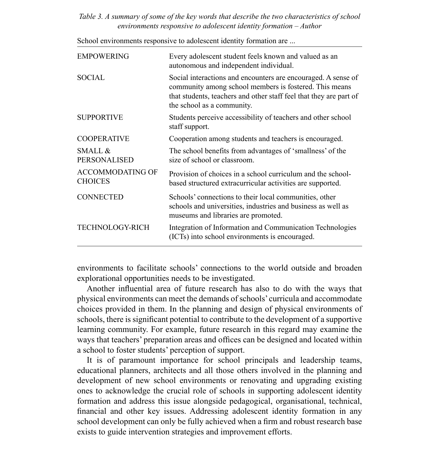*Table 3. A summary of some of the key words that describe the two characteristics of school environments responsive to adolescent identity formation – Author*

School environments responsive to adolescent identity formation are ...

| <b>EMPOWERING</b>                         | Every adolescent student feels known and valued as an<br>autonomous and independent individual.                                                                                                                             |
|-------------------------------------------|-----------------------------------------------------------------------------------------------------------------------------------------------------------------------------------------------------------------------------|
| <b>SOCIAL</b>                             | Social interactions and encounters are encouraged. A sense of<br>community among school members is fostered. This means<br>that students, teachers and other staff feel that they are part of<br>the school as a community. |
| <b>SUPPORTIVE</b>                         | Students perceive accessibility of teachers and other school<br>staff support.                                                                                                                                              |
| <b>COOPERATIVE</b>                        | Cooperation among students and teachers is encouraged.                                                                                                                                                                      |
| SMAIL &<br><b>PERSONALISED</b>            | The school benefits from advantages of 'smallness' of the<br>size of school or classroom.                                                                                                                                   |
| <b>ACCOMMODATING OF</b><br><b>CHOICES</b> | Provision of choices in a school curriculum and the school-<br>based structured extracurricular activities are supported.                                                                                                   |
| <b>CONNECTED</b>                          | Schools' connections to their local communities, other<br>schools and universities, industries and business as well as<br>museums and libraries are promoted.                                                               |
| <b>TECHNOLOGY-RICH</b>                    | Integration of Information and Communication Technologies<br>(ICTs) into school environments is encouraged.                                                                                                                 |

environments to facilitate schools' connections to the world outside and broaden explorational opportunities needs to be investigated.

Another influential area of future research has also to do with the ways that physical environments can meet the demands of schools' curricula and accommodate choices provided in them. In the planning and design of physical environments of schools, there is significant potential to contribute to the development of a supportive learning community. For example, future research in this regard may examine the ways that teachers' preparation areas and offices can be designed and located within a school to foster students' perception of support.

It is of paramount importance for school principals and leadership teams, educational planners, architects and all those others involved in the planning and development of new school environments or renovating and upgrading existing ones to acknowledge the crucial role of schools in supporting adolescent identity formation and address this issue alongside pedagogical, organisational, technical, financial and other key issues. Addressing adolescent identity formation in any school development can only be fully achieved when a firm and robust research base exists to guide intervention strategies and improvement efforts.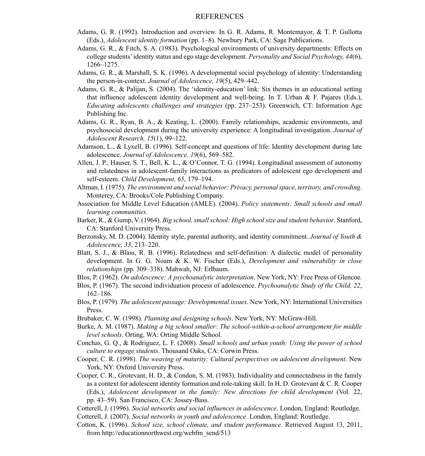#### **REFERENCES**

- Adams, G. R. (1992). Introduction and overview. In G. R. Adams, R. Montemayor, & T. P. Gullotta (Eds.), *Adolescent identity formation* (pp. 1–8). Newbury Park, CA: Sage Publications.
- Adams, G. R., & Fitch, S. A. (1983). Psychological environments of university departments: Effects on college students' identity status and ego stage development. *Personality and Social Psychology, 44*(6), 1266–1275.
- Adams, G. R., & Marshall, S. K. (1996). A developmental social psychology of identity: Understanding the person-in-context. *Journal of Adolescence, 19*(5), 429–442.
- Adams, G. R., & Palijan, S. (2004). The 'identity-education' link: Six themes in an educational setting that influence adolescent identity development and well-being. In T. Urban & F. Pajares (Eds.), *Educating adolescents challenges and strategies* (pp. 237–253). Greenwich, CT: Information Age Publishing Inc.
- Adams, G. R., Ryan, B. A., & Keating, L. (2000). Family relationships, academic environments, and psychosocial development during the university experience: A longitudinal investigation. *Journal of Adolescent Research, 15*(1), 99–122.
- Adamson, L., & Lyxell, B. (1996). Self-concept and questions of life: Identity development during late adolescence. *Journal of Adolescence, 19*(6), 569–582.
- Allen, J. P., Hauser, S. T., Bell, K. L., & O'Connor, T. G. (1994). Longitudinal assessment of autonomy and relatedness in adolescent-family interactions as predicators of adolescent ego development and self-esteem. *Child Development, 65*, 179–194.
- Altman, I. (1975). *The environment and social behavior: Privacy, personal space, territory, and crowding*. Monterey, CA: Brooks/Cole Publishing Company.
- Association for Middle Level Education (AMLE). (2004). *Policy statements: Small schools and small learning communities*.
- Barker, R., & Gump, V. (1964). *Big school, small school: High school size and student behavior*. Stanford, CA: Stanford University Press.
- Berzonsky, M. D. (2004). Identity style, parental authority, and identity commitment. *Journal of Youth & Adolescence, 33*, 213–220.
- Blatt, S. J., & Blass, R. B. (1996). Relatedness and self-definition: A dialectic model of personality development. In G. G. Noam & K. W. Fischer (Eds.), *Development and vulnerability in close relationships* (pp. 309–338). Mahwah, NJ: Erlbaum.
- Blos, P. (1962). *On adolescence: A psychoanalytic interpretation*. New York, NY: Free Press of Glencoe.
- Blos, P. (1967). The second individuation process of adolescence. *Psychoanalytic Study of the Child, 22*, 162–186.
- Blos, P. (1979). *The adolescent passage: Developmental issues*. New York, NY: International Universities Press.
- Brubaker, C. W. (1998). *Planning and designing schools*. New York, NY: McGraw-Hill.
- Burke, A. M. (1987). *Making a big school smaller: The school-within-a-school arrangement for middle level schools*. Orting, WA: Orting Middle School.
- Conchas, G. Q., & Rodriguez, L. F. (2008). *Small schools and urban youth: Using the power of school culture to engage students*. Thousand Oaks, CA: Corwin Press.
- Cooper, C. R. (1998). *The weaving of maturity: Cultural perspectives on adolescent development*. New York, NY: Oxford University Press.
- Cooper, C. R., Grotevant, H. D., & Condon, S. M. (1983). Individuality and connectedness in the family as a context for adolescent identity formation and role-taking skill. In H. D. Grotevant & C. R. Cooper (Eds.), *Adolescent development in the family: New directions for child development* (Vol. 22, pp. 43–59). San Francisco, CA: Jossey-Bass.
- Cotterell, J. (1996). *Social networks and social influences in adolescence*. London, England: Routledge.
- Cotterell, J. (2007). *Social networks in youth and adolescence*. London, England: Routledge.
- Cotton, K. (1996). *School size, school climate, and student performance*. Retrieved August 13, 2011, from http://educationnorthwest.org/webfm\_send/513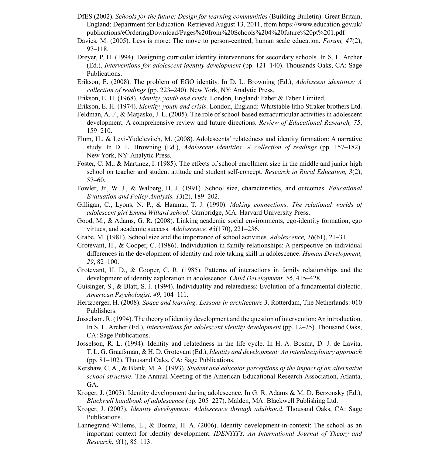- DfES (2002). *Schools for the future: Design for learning communities* (Building Bulletin). Great Britain, England: Department for Education. Retrieved August 13, 2011, from https://www.education.gov.uk/ publications/eOrderingDownload/Pages%20from%20Schools%204%20future%20pt%201.pdf
- Davies, M. (2005). Less is more: The move to person-centred, human scale education. *Forum, 47*(2), 97–118.
- Dreyer, P. H. (1994). Designing curricular identity interventions for secondary schools. In S. L. Archer (Ed.), *Interventions for adolescent identity development* (pp. 121–140). Thousands Oaks, CA: Sage Publications.
- Erikson, E. (2008). The problem of EGO identity. In D. L. Browning (Ed.), *Adolescent identities: A collection of readings* (pp. 223–240). New York, NY: Analytic Press.
- Erikson, E. H. (1968). *Identity, youth and crisis*. London, England: Faber & Faber Limited.
- Erikson, E. H. (1974). *Identity, youth and crisis*. London, England: Whitstable litho Straker brothers Ltd.
- Feldman, A. F., & Matjasko, J. L. (2005). The role of school-based extracurricular activities in adolescent development: A comprehensive review and future directions. *Review of Educational Research, 75*, 159–210.
- Flum, H., & Levi-Yudelevitch, M. (2008). Adolescents' relatedness and identity formation: A narrative study. In D. L. Browning (Ed.), *Adolescent identities: A collection of readings* (pp. 157–182). New York, NY: Analytic Press.
- Foster, C. M., & Martinez, I. (1985). The effects of school enrollment size in the middle and junior high school on teacher and student attitude and student self-concept. *Research in Rural Education, 3*(2), 57–60.
- Fowler, Jr., W. J., & Walberg, H. J. (1991). School size, characteristics, and outcomes. *Educational Evaluation and Policy Analysis, 13*(2), 189–202.
- Gilligan, C., Lyons, N. P., & Hanmar, T. J. (1990). *Making connections: The relational worlds of adolescent girl Emma Willard school*. Cambridge, MA: Harvard University Press.
- Good, M., & Adams, G. R. (2008). Linking academic social environments, ego-identity formation, ego virtues, and academic success. *Adolescence, 43*(170), 221–236.
- Grabe, M. (1981). School size and the importance of school activities. *Adolescence, 16*(61), 21–31.
- Grotevant, H., & Cooper, C. (1986). Individuation in family relationships: A perspective on individual differences in the development of identity and role taking skill in adolescence. *Human Development, 29*, 82–100.
- Grotevant, H. D., & Cooper, C. R. (1985). Patterns of interactions in family relationships and the development of identity exploration in adolescence. *Child Development, 56*, 415–428.
- Guisinger, S., & Blatt, S. J. (1994). Individuality and relatedness: Evolution of a fundamental dialectic. *American Psychologist, 49*, 104–111.
- Hertzberger, H. (2008). *Space and learning: Lessons in architecture 3*. Rotterdam, The Netherlands: 010 Publishers.
- Josselson, R. (1994). The theory of identity development and the question of intervention: An introduction. In S. L. Archer (Ed.), *Interventions for adolescent identity development* (pp. 12–25). Thousand Oaks, CA: Sage Publications.
- Josselson, R. L. (1994). Identity and relatedness in the life cycle. In H. A. Bosma, D. J. de Lavita, T. L. G. Graafsman, & H. D. Grotevant (Ed.), *Identity and development: An interdisciplinary approach* (pp. 81–102). Thousand Oaks, CA: Sage Publications.
- Kershaw, C. A., & Blank, M. A. (1993). *Student and educator perceptions of the impact of an alternative school structure.* The Annual Meeting of the American Educational Research Association, Atlanta, GA.
- Kroger, J. (2003). Identity development during adolescence. In G. R. Adams & M. D. Berzonsky (Ed.), *Blackwell handbook of adolescence* (pp. 205–227). Malden, MA: Blackwell Publishing Ltd.
- Kroger, J. (2007). *Identity development: Adolescence through adulthood*. Thousand Oaks, CA: Sage Publications.
- Lannegrand-Willems, L., & Bosma, H. A. (2006). Identity development-in-context: The school as an important context for identity development. *IDENTITY: An International Journal of Theory and Research, 6*(1), 85–113.